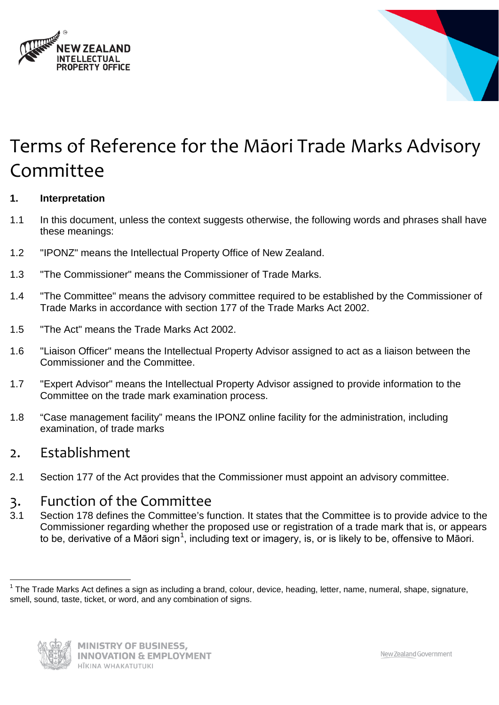



# Terms of Reference for the Māori Trade Marks Advisory Committee

## **1. Interpretation**

- 1.1 In this document, unless the context suggests otherwise, the following words and phrases shall have these meanings:
- 1.2 "IPONZ" means the Intellectual Property Office of New Zealand.
- 1.3 "The Commissioner" means the Commissioner of Trade Marks.
- 1.4 "The Committee" means the advisory committee required to be established by the Commissioner of Trade Marks in accordance with section 177 of the Trade Marks Act 2002.
- 1.5 "The Act" means the Trade Marks Act 2002.
- 1.6 "Liaison Officer" means the Intellectual Property Advisor assigned to act as a liaison between the Commissioner and the Committee.
- 1.7 "Expert Advisor" means the Intellectual Property Advisor assigned to provide information to the Committee on the trade mark examination process.
- 1.8 "Case management facility" means the IPONZ online facility for the administration, including examination, of trade marks

## 2. Establishment

2.1 Section 177 of the Act provides that the Commissioner must appoint an advisory committee.

## 3. Function of the Committee

3.1 Section 178 defines the Committee's function. It states that the Committee is to provide advice to the Commissioner regarding whether the proposed use or registration of a trade mark that is, or appears to be, derivative of a Māori sign<sup>[1](#page-0-0)</sup>, including text or imagery, is, or is likely to be, offensive to Māori.

<span id="page-0-0"></span> $1$  The Trade Marks Act defines a sign as including a brand, colour, device, heading, letter, name, numeral, shape, signature, smell, sound, taste, ticket, or word, and any combination of signs.

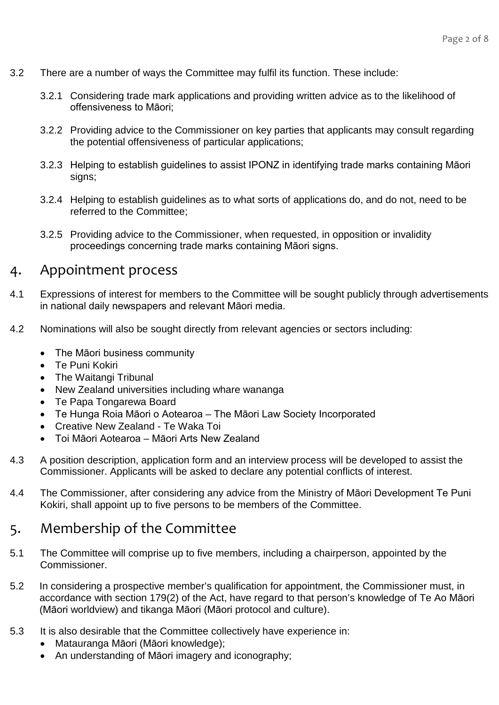- 3.2 There are a number of ways the Committee may fulfil its function. These include:
	- 3.2.1 Considering trade mark applications and providing written advice as to the likelihood of offensiveness to Māori;
	- 3.2.2 Providing advice to the Commissioner on key parties that applicants may consult regarding the potential offensiveness of particular applications;
	- 3.2.3 Helping to establish guidelines to assist IPONZ in identifying trade marks containing Māori signs;
	- 3.2.4 Helping to establish guidelines as to what sorts of applications do, and do not, need to be referred to the Committee;
	- 3.2.5 Providing advice to the Commissioner, when requested, in opposition or invalidity proceedings concerning trade marks containing Māori signs.

## 4. Appointment process

- 4.1 Expressions of interest for members to the Committee will be sought publicly through advertisements in national daily newspapers and relevant Māori media.
- 4.2 Nominations will also be sought directly from relevant agencies or sectors including:
	- The Māori business community
	- Te Puni Kokiri
	- The Waitangi Tribunal
	- New Zealand universities including whare wananga
	- Te Papa Tongarewa Board
	- Te Hunga Roia Māori o Aotearoa The Māori Law Society Incorporated
	- Creative New Zealand Te Waka Toi
	- Toi Māori Aotearoa Māori Arts New Zealand
- 4.3 A position description, application form and an interview process will be developed to assist the Commissioner. Applicants will be asked to declare any potential conflicts of interest.
- 4.4 The Commissioner, after considering any advice from the Ministry of Māori Development Te Puni Kokiri, shall appoint up to five persons to be members of the Committee.

# 5. Membership of the Committee

- 5.1 The Committee will comprise up to five members, including a chairperson, appointed by the Commissioner.
- 5.2 In considering a prospective member's qualification for appointment, the Commissioner must, in accordance with section 179(2) of the Act, have regard to that person's knowledge of Te Ao Māori (Māori worldview) and tikanga Māori (Māori protocol and culture).
- 5.3 It is also desirable that the Committee collectively have experience in:
	- Matauranga Māori (Māori knowledge);
	- An understanding of Māori imagery and iconography;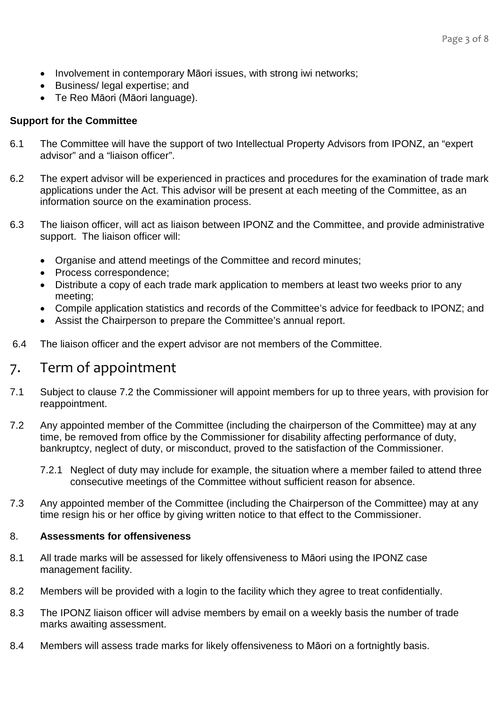- Involvement in contemporary Māori issues, with strong iwi networks;
- Business/ legal expertise; and
- Te Reo Māori (Māori language).

## **Support for the Committee**

- 6.1 The Committee will have the support of two Intellectual Property Advisors from IPONZ, an "expert advisor" and a "liaison officer".
- 6.2 The expert advisor will be experienced in practices and procedures for the examination of trade mark applications under the Act. This advisor will be present at each meeting of the Committee, as an information source on the examination process.
- 6.3 The liaison officer, will act as liaison between IPONZ and the Committee, and provide administrative support. The liaison officer will:
	- Organise and attend meetings of the Committee and record minutes;
	- Process correspondence;
	- Distribute a copy of each trade mark application to members at least two weeks prior to any meeting;
	- Compile application statistics and records of the Committee's advice for feedback to IPONZ; and
	- Assist the Chairperson to prepare the Committee's annual report.
- 6.4 The liaison officer and the expert advisor are not members of the Committee.

# 7. Term of appointment

- 7.1 Subject to clause 7.2 the Commissioner will appoint members for up to three years, with provision for reappointment.
- 7.2 Any appointed member of the Committee (including the chairperson of the Committee) may at any time, be removed from office by the Commissioner for disability affecting performance of duty, bankruptcy, neglect of duty, or misconduct, proved to the satisfaction of the Commissioner.
	- 7.2.1 Neglect of duty may include for example, the situation where a member failed to attend three consecutive meetings of the Committee without sufficient reason for absence.
- 7.3 Any appointed member of the Committee (including the Chairperson of the Committee) may at any time resign his or her office by giving written notice to that effect to the Commissioner.

## 8. **Assessments for offensiveness**

- 8.1 All trade marks will be assessed for likely offensiveness to Māori using the IPONZ case management facility.
- 8.2 Members will be provided with a login to the facility which they agree to treat confidentially.
- 8.3 The IPONZ liaison officer will advise members by email on a weekly basis the number of trade marks awaiting assessment.
- 8.4 Members will assess trade marks for likely offensiveness to Māori on a fortnightly basis.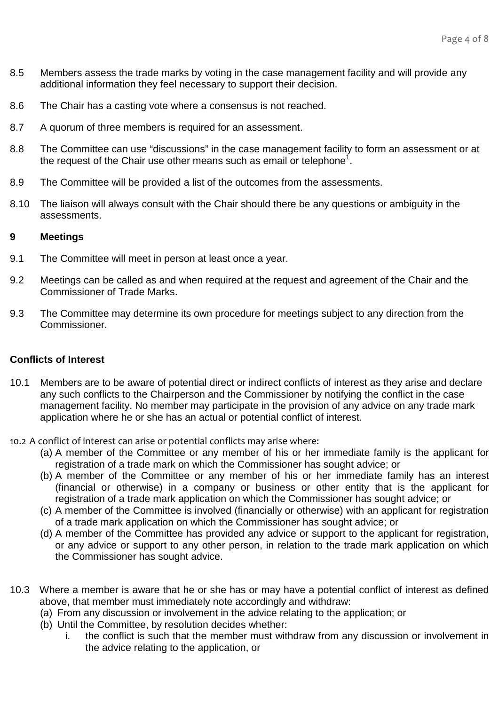- 8.5 Members assess the trade marks by voting in the case management facility and will provide any additional information they feel necessary to support their decision.
- 8.6 The Chair has a casting vote where a consensus is not reached.
- 8.7 A quorum of three members is required for an assessment.
- 8.8 The Committee can use "discussions" in the case management facility to form an assessment or at the request of the Chair use other means such as email or telephone<sup>1</sup>.
- 8.9 The Committee will be provided a list of the outcomes from the assessments.
- 8.10 The liaison will always consult with the Chair should there be any questions or ambiguity in the assessments.

#### **9 Meetings**

- 9.1 The Committee will meet in person at least once a year.
- 9.2 Meetings can be called as and when required at the request and agreement of the Chair and the Commissioner of Trade Marks.
- 9.3 The Committee may determine its own procedure for meetings subject to any direction from the Commissioner.

## **Conflicts of Interest**

- 10.1 Members are to be aware of potential direct or indirect conflicts of interest as they arise and declare any such conflicts to the Chairperson and the Commissioner by notifying the conflict in the case management facility. No member may participate in the provision of any advice on any trade mark application where he or she has an actual or potential conflict of interest.
- 10.2 A conflict of interest can arise or potential conflicts may arise where:
	- (a) A member of the Committee or any member of his or her immediate family is the applicant for registration of a trade mark on which the Commissioner has sought advice; or
	- (b) A member of the Committee or any member of his or her immediate family has an interest (financial or otherwise) in a company or business or other entity that is the applicant for registration of a trade mark application on which the Commissioner has sought advice; or
	- (c) A member of the Committee is involved (financially or otherwise) with an applicant for registration of a trade mark application on which the Commissioner has sought advice; or
	- (d) A member of the Committee has provided any advice or support to the applicant for registration, or any advice or support to any other person, in relation to the trade mark application on which the Commissioner has sought advice.
- 10.3 Where a member is aware that he or she has or may have a potential conflict of interest as defined above, that member must immediately note accordingly and withdraw:
	- (a) From any discussion or involvement in the advice relating to the application; or
	- (b) Until the Committee, by resolution decides whether:
		- i. the conflict is such that the member must withdraw from any discussion or involvement in the advice relating to the application, or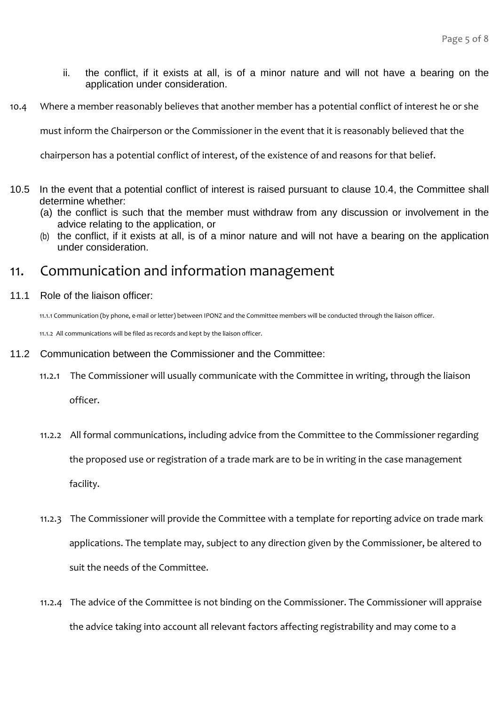- ii. the conflict, if it exists at all, is of a minor nature and will not have a bearing on the application under consideration.
- 10.4 Where a member reasonably believes that another member has a potential conflict of interest he or she

must inform the Chairperson or the Commissioner in the event that it is reasonably believed that the

chairperson has a potential conflict of interest, of the existence of and reasons for that belief.

- 10.5 In the event that a potential conflict of interest is raised pursuant to clause 10.4, the Committee shall determine whether:
	- (a) the conflict is such that the member must withdraw from any discussion or involvement in the advice relating to the application, or
	- (b) the conflict, if it exists at all, is of a minor nature and will not have a bearing on the application under consideration.

# 11. Communication and information management

11.1 Role of the liaison officer:

11.1.1 Communication (by phone, e-mail or letter) between IPONZ and the Committee members will be conducted through the liaison officer.

11.1.2 All communications will be filed as records and kept by the liaison officer.

- 11.2 Communication between the Commissioner and the Committee:
	- 11.2.1 The Commissioner will usually communicate with the Committee in writing, through the liaison

officer.

11.2.2 All formal communications, including advice from the Committee to the Commissioner regarding

the proposed use or registration of a trade mark are to be in writing in the case management

facility.

- 11.2.3 The Commissioner will provide the Committee with a template for reporting advice on trade mark applications. The template may, subject to any direction given by the Commissioner, be altered to suit the needs of the Committee.
- 11.2.4 The advice of the Committee is not binding on the Commissioner. The Commissioner will appraise the advice taking into account all relevant factors affecting registrability and may come to a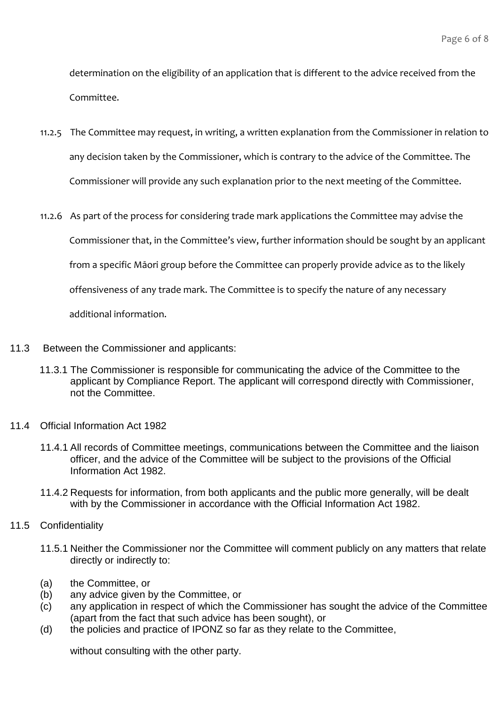determination on the eligibility of an application that is different to the advice received from the Committee.

- 11.2.5 The Committee may request, in writing, a written explanation from the Commissioner in relation to any decision taken by the Commissioner, which is contrary to the advice of the Committee. The Commissioner will provide any such explanation prior to the next meeting of the Committee.
- 11.2.6 As part of the process for considering trade mark applications the Committee may advise the Commissioner that, in the Committee's view, further information should be sought by an applicant from a specific Māori group before the Committee can properly provide advice as to the likely offensiveness of any trade mark. The Committee is to specify the nature of any necessary additional information.
- 11.3 Between the Commissioner and applicants:
	- 11.3.1 The Commissioner is responsible for communicating the advice of the Committee to the applicant by Compliance Report. The applicant will correspond directly with Commissioner, not the Committee.
- 11.4 Official Information Act 1982
	- 11.4.1 All records of Committee meetings, communications between the Committee and the liaison officer, and the advice of the Committee will be subject to the provisions of the Official Information Act 1982.
	- 11.4.2 Requests for information, from both applicants and the public more generally, will be dealt with by the Commissioner in accordance with the Official Information Act 1982.
- 11.5 Confidentiality
	- 11.5.1 Neither the Commissioner nor the Committee will comment publicly on any matters that relate directly or indirectly to:
	- (a) the Committee, or
	- (b) any advice given by the Committee, or
	- (c) any application in respect of which the Commissioner has sought the advice of the Committee (apart from the fact that such advice has been sought), or
	- (d) the policies and practice of IPONZ so far as they relate to the Committee,

without consulting with the other party.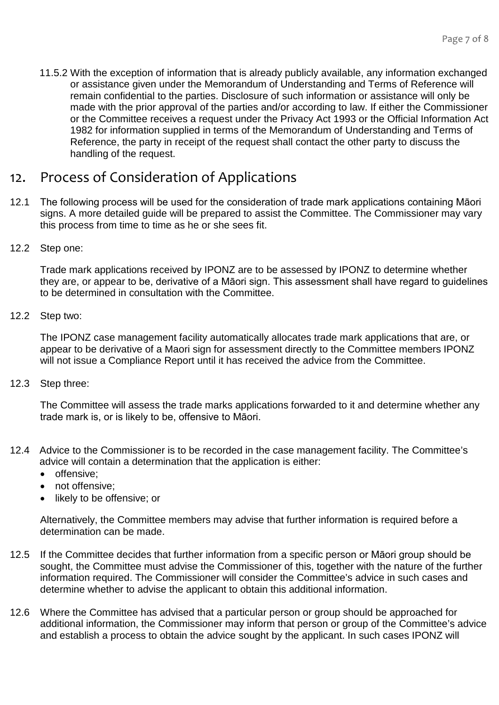11.5.2 With the exception of information that is already publicly available, any information exchanged or assistance given under the Memorandum of Understanding and Terms of Reference will remain confidential to the parties. Disclosure of such information or assistance will only be made with the prior approval of the parties and/or according to law. If either the Commissioner or the Committee receives a request under the Privacy Act 1993 or the Official Information Act 1982 for information supplied in terms of the Memorandum of Understanding and Terms of Reference, the party in receipt of the request shall contact the other party to discuss the handling of the request.

# 12. Process of Consideration of Applications

- 12.1 The following process will be used for the consideration of trade mark applications containing Māori signs. A more detailed guide will be prepared to assist the Committee. The Commissioner may vary this process from time to time as he or she sees fit.
- 12.2 Step one:

Trade mark applications received by IPONZ are to be assessed by IPONZ to determine whether they are, or appear to be, derivative of a Māori sign. This assessment shall have regard to guidelines to be determined in consultation with the Committee.

12.2 Step two:

The IPONZ case management facility automatically allocates trade mark applications that are, or appear to be derivative of a Maori sign for assessment directly to the Committee members IPONZ will not issue a Compliance Report until it has received the advice from the Committee.

12.3 Step three:

The Committee will assess the trade marks applications forwarded to it and determine whether any trade mark is, or is likely to be, offensive to Māori.

- 12.4 Advice to the Commissioner is to be recorded in the case management facility. The Committee's advice will contain a determination that the application is either:
	- offensive:
	- not offensive:
	- likely to be offensive; or

Alternatively, the Committee members may advise that further information is required before a determination can be made.

- 12.5 If the Committee decides that further information from a specific person or Māori group should be sought, the Committee must advise the Commissioner of this, together with the nature of the further information required. The Commissioner will consider the Committee's advice in such cases and determine whether to advise the applicant to obtain this additional information.
- 12.6 Where the Committee has advised that a particular person or group should be approached for additional information, the Commissioner may inform that person or group of the Committee's advice and establish a process to obtain the advice sought by the applicant. In such cases IPONZ will